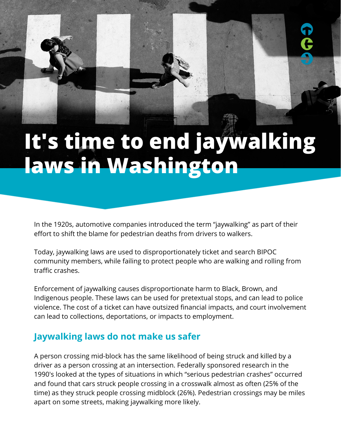# **It's time to end jaywalking laws in Washington**

In the 1920s, automotive companies introduced the term "jaywalking" as part of their effort to [shift the blame](https://www.bbc.com/news/magazine-26073797) for pedestrian deaths from drivers to walkers.

Today, jaywalking laws are used to disproportionately ticket and search BIPOC community members, while failing to protect people who are walking and rolling from traffic crashes.

Enforcement of jaywalking causes disproportionate harm to Black, Brown, and Indigenous people. These laws can be used for pretextual stops, and can lead to police violence. The cost of a ticket can have outsized financial impacts, and court involvement can lead to collections, deportations, or impacts to employment.

## **Jaywalking laws do not make us safer**

A person crossing mid-block has the same likelihood of being struck and killed by a driver as a person crossing at an intersection. Federally sponsored research in the 1990's looked at the types of situations in which "serious pedestrian crashes" occurred and found that cars struck people crossing in a crosswalk almost as often (25% of the time) as they struck people crossing midblock (26%). Pedestrian crossings may be miles apart on some streets, making jaywalking more likely.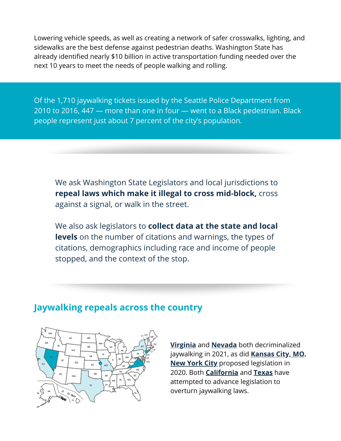Lowering vehicle speeds, as well as creating a network of safer crosswalks, lighting, and sidewalks are the best defense against pedestrian deaths. Washington State has already identified nearly \$10 billion in active transportation funding needed over the next 10 years to meet the needs of people walking and rolling.

Of the 1,710 jaywalking tickets issued by the Seattle Police Department from 2010 to 2016, 447 — more than one in four — went to a Black pedestrian. Black people represent just about 7 percent of the city's population.

We ask Washington State Legislators and local jurisdictions to **repeal laws which make it illegal to cross mid-block,** cross against a signal, or walk in the street.

We also ask legislators to **collect data at the state and local levels** on the number of citations and warnings, the types of citations, demographics including race and income of people stopped, and the context of the stop.

#### **Jaywalking repeals across the country**



**[Virginia](https://www.virginiamercury.com/2020/12/21/jaywalking-decriminalization-is-coming-to-virginia-100-years-after-the-auto-industry-helped-make-it-a-crime/)** and **[Nevada](https://thenevadaindependent.com/article/right-to-return-swamp-cedar-protections-and-jaywalking-decriminalization-among-more-than-200-laws-to-kick-in-today)** both decriminalized jaywalking in 2021, as did **[Kansas City, MO.](https://bikewalkkc.org/blog/2021/05/kcmo-takes-important-step-towards-decriminalizing-walking-and-biking/) [New York City](https://licpost.com/constantinides-to-introduce-bill-to-decriminalize-jaywalking-in-nyc)** proposed legislation in 2020. Both **[California](https://www.latimes.com/california/story/2021-10-08/new-california-law-will-limit-jaywalking-tickets)** and **[Texas](https://starlocalmedia.com/planocourier/texas-state-legislature-advances-pedestrian-bill-inspired-by-rodney-reese-arrest/article_76cc7fcc-a461-11eb-bd94-0b324c0cf959.html)** have attempted to advance legislation to overturn jaywalking laws.